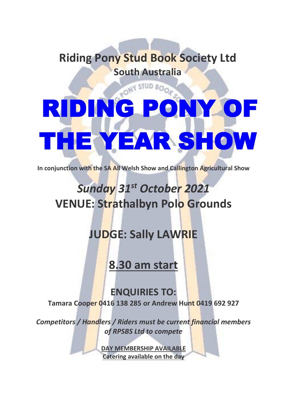### **Riding Pony Stud Book Society Ltd South Australia**

# RIDING PONY HE YEAR SHOW

**In conjunction with the SA All Welsh Show and Callington Agricultural Show**

## *Sunday 31st October 2021* **VENUE: Strathalbyn Polo Grounds**

### **JUDGE: Sally LAWRIE**

**8.30 am start**

### **ENQUIRIES TO:**

**Tamara Cooper 0416 138 285 or Andrew Hunt 0419 692 927**

*Competitors / Handlers / Riders must be current financial members of RPSBS Ltd to compete*

> **DAY MEMBERSHIP AVAILABLE Catering available on the day**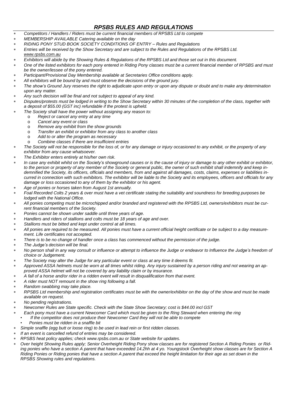### *RPSBS RULES AND REGULATIONS*

- \* *Competitors / Handlers / Riders must be current financial members of RPSBS Ltd to compete*
- \* *MEMBERSHIP AVAILABLE Catering available on the day*
- \* *RIDING PONY STUD BOOK SOCIETY CONDITIONS OF ENTRY – Rules and Regulations*
- Entries will be received by the Show Secretary and are subject to the Rules and Regulations of the RPSBS Ltd. *[www.rpsbs.com.au](http://www.rpsbs.com.au/)*
- Exhibitors will abide by the Showing Rules & Regulations of the RPSBS Ltd and those set out in this document.
- One of the listed exhibitors for each pony entered in Riding Pony classes must be a current financial member of RPSBS and must *be the owner/lessee of the pony entered.*
- \* *Participant/Provisional Day Membership available at Secretaries Office conditions apply.*
- \* *All exhibitors will be bound by and must observe the decisions of the ground jury.*
- The show's Ground Jury reserves the right to adjudicate upon entry or upon any dispute or doubt and to make any determination *upon any matter.*
- \* *Any such decision will be final and not subject to appeal of any kind.*
- Disputes/protests must be lodged in writing to the Show Secretary within 30 minutes of the completion of the class, together with *a deposit of \$55.00 (GST inc) refundable if the protest is upheld.*
- \* *The Society shall have the power without assigning any reason to:*
	- o *Reject or cancel any entry at any time*
	- o *Cancel any event or class*
	- o *Remove any exhibit from the show grounds*
	- o *Transfer an exhibit or exhibitor from any class to another class*
	- o *Add to or alter the program as necessary*
	- o *Combine classes if there are insufficient entries*
- The Society will not be responsible for the loss of, or for any damage or injury occasioned to any exhibit, or the property of any *exhibitor from any cause whatsoever.*
- \* *The Exhibitor enters entirely at his/her own risk.*
- In case any exhibit whilst on the Society's showground causes or is the cause of injury or damage to any other exhibit or exhibitor, to the person or property of any member of the Society or general public, the owner of such exhibit shall indemnify and keep indemnified the Society, its officers, officials and members, from and against all damages, costs, claims, expenses or liabilities incurred in connection with such exhibitors. The exhibitor will be liable to the Society and its employees, officers and officials for any *damage or loss occasioned to any of them by the exhibitor or his agent.*
- \* *Age of ponies or horses taken from August 1st annually.*
- Foal Recorded Colts 2 years & over must have a vet certificate stating the suitability and soundness for breeding purposes be *lodged with the National Office.*
- All ponies competing must be microchipped and/or branded and registered with the RPSBS Ltd, owners/exhibitors must be cur*rent financial members of the Society.*
- \* *Ponies cannot be shown under saddle until three years of age.*
- \* *Handlers and riders of stallions and colts must be 18 years of age and over.*
- \* *Stallions must be bitted and kept under control at all times.*
- All ponies are required to be measured. All ponies must have a current official height certificate or be subject to a day measure*ment. Life certificates not accepted.*
- There is to be no change of handler once a class has commenced without the permission of the judge.
- \* *The Judge's decision will be final.*
- No person shall in any way consult or influence or attempt to influence the Judge or endeavor to Influence the Judge's freedom of *choice or Judgement.*
- \* *The Society may alter the Judge for any particular event or class at any time it deems fit.*
- Approved ASSA helmets must be worn at all times whilst riding. Any injury sustained by a person riding and not wearing an ap*proved ASSA helmet will not be covered by any liability claim or by insurance.*
- A fall of a horse and/or rider in a ridden event will result in disqualification from that event.
- \* *A rider must NOT remount in the show ring following a fall.*
- \* *Random swabbing may take place.*
- RPSBS Ltd membership and registration certificates must be with the owner/exhibitor on the day of the show and must be made *available on request.*
- \* *No pending registrations.*
- \* *Newcomer Rules are State specific. Check with the State Show Secretary; cost is \$44.00 incl GST*
- Each pony must have a current Newcomer Card which must be given to the Ring Steward when entering the ring
- *If the competitor does not produce their Newcomer Card they will not be able to compete*
	- *Ponies must be ridden in a snaffle bit*
- \* *Simple snaffle (egg butt or loose ring) to be used in lead rein or first ridden classes.*
- \* *If an event is cancelled refund of entries may be considered.*
- \* *RPSBS heat policy applies; check www.rpsbs.com.au or State website for updates.*
- Over height Showing Rules apply; Senior Overheight Riding Pony show classes are for registered Section A Riding Ponies or Riding ponies who have a section A parent that have exceeded 14.2hh at 4 yo. Youngstock Overheight show classes are for Section A Riding Ponies or Riding ponies that have a section A parent that exceed the height limitation for their age as set down in the *RPSBS Showing rules and regulations.*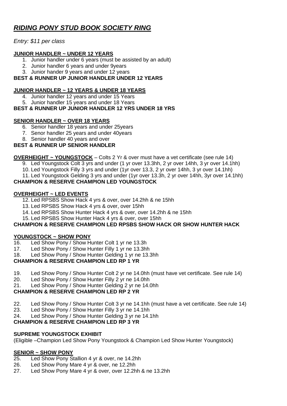### *RIDING PONY STUD BOOK SOCIETY RING*

### *Entry: \$11 per class*

### **JUNIOR HANDLER ~ UNDER 12 YEARS**

- 1. Junior handler under 6 years (must be assisted by an adult)
- 2. Junior handler 6 years and under 9years
- 3. Junior hander 9 years and under 12 years

### **BEST & RUNNER UP JUNIOR HANDLER UNDER 12 YEARS**

### **JUNIOR HANDLER ~ 12 YEARS & UNDER 18 YEARS**

- 4. Junior handler 12 years and under 15 Years
- 5. Junior handler 15 years and under 18 Years

### **BEST & RUNNER UP JUNIOR HANDLER 12 YRS UNDER 18 YRS**

### **SENIOR HANDLER ~ OVER 18 YEARS**

- 6. Senior handler 18 years and under 25years
- 7. Senor handler 25 years and under 40years
- 8. Senior handler 40 years and over

### **BEST & RUNNER UP SENIOR HANDLER**

**OVERHEIGHT ~ YOUNGSTOCK** – Colts 2 Yr & over must have a vet certificate (see rule 14)

- 9. Led Youngstock Colt 3 yrs and under (1 yr over 13.3hh, 2 yr over 14hh, 3 yr over 14.1hh)
- 10. Led Youngstock Filly 3 yrs and under (1yr over 13.3, 2 yr over 14hh, 3 yr over 14.1hh)
- 11. Led Youngstock Gelding 3 yrs and under (1yr over 13.3h, 2 yr over 14hh, 3yr over 14.1hh)

### **CHAMPION & RESERVE CHAMPION LED YOUNGSTOCK**

### **OVERHEIGHT ~ LED EVENTS**

- 12. Led RPSBS Show Hack 4 yrs & over, over 14.2hh & ne 15hh
- 13. Led RPSBS Show Hack 4 yrs & over, over 15hh
- 14. Led RPSBS Show Hunter Hack 4 yrs & over, over 14.2hh & ne 15hh
- 15. Led RPSBS Show Hunter Hack 4 yrs & over, over 15hh

### **CHAMPION & RESERVE CHAMPION LED RPSBS SHOW HACK OR SHOW HUNTER HACK**

### **YOUNGSTOCK ~ SHOW PONY**

- 16. Led Show Pony / Show Hunter Colt 1 yr ne 13.3h
- 17. Led Show Pony / Show Hunter Filly 1 yr ne 13.3hh
- 18. Led Show Pony / Show Hunter Gelding 1 yr ne 13.3hh

### **CHAMPION & RESERVE CHAMPION LED RP 1 YR**

- 19. Led Show Pony / Show Hunter Colt 2 yr ne 14.0hh (must have vet certificate. See rule 14)
- 20. Led Show Pony / Show Hunter Filly 2 yr ne 14.0hh
- 21. Led Show Pony / Show Hunter Gelding 2 yr ne 14.0hh

### **CHAMPION & RESERVE CHAMPION LED RP 2 YR**

- 22. Led Show Pony / Show Hunter Colt 3 yr ne 14.1hh (must have a vet certificate. See rule 14)
- 23. Led Show Pony / Show Hunter Filly 3 yr ne 14.1hh
- 24. Led Show Pony / Show Hunter Gelding 3 yr ne 14.1hh

### **CHAMPION & RESERVE CHAMPION LED RP 3 YR**

### **SUPREME YOUNGSTOCK EXHIBIT**

(Eligible –Champion Led Show Pony Youngstock & Champion Led Show Hunter Youngstock)

### **SENIOR ~ SHOW PONY**

- 25. Led Show Pony Stallion 4 yr & over, ne 14.2hh
- 26. Led Show Pony Mare 4 yr & over, ne 12.2hh
- 27. Led Show Pony Mare 4 yr & over, over 12.2hh & ne 13.2hh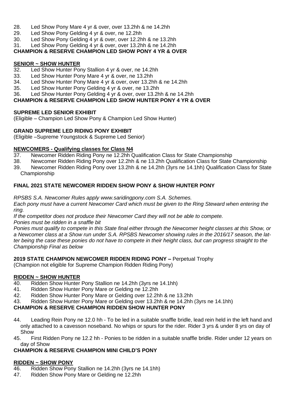- 28. Led Show Pony Mare 4 yr & over, over 13.2hh & ne 14.2hh
- 29. Led Show Pony Gelding 4 yr & over, ne 12.2hh
- 30. Led Show Pony Gelding 4 yr & over, over 12.2hh & ne 13.2hh
- 31. Led Show Pony Gelding 4 yr & over, over 13.2hh & ne 14.2hh

### **CHAMPION & RESERVE CHAMPION LED SHOW PONY 4 YR & OVER**

### **SENIOR ~ SHOW HUNTER**

- Led Show Hunter Pony Stallion 4 yr & over, ne 14.2hh
- 33. Led Show Hunter Pony Mare 4 yr & over, ne 13.2hh
- 34. Led Show Hunter Pony Mare 4 yr & over, over 13.2hh & ne 14.2hh
- 35. Led Show Hunter Pony Gelding 4 yr & over, ne 13.2hh
- 36. Led Show Hunter Pony Gelding 4 yr & over, over 13.2hh & ne 14.2hh

### **CHAMPION & RESERVE CHAMPION LED SHOW HUNTER PONY 4 YR & OVER**

### **SUPREME LED SENIOR EXHIBIT**

(Eligible – Champion Led Show Pony & Champion Led Show Hunter)

### **GRAND SUPREME LED RIDING PONY EXHIBIT**

(Eligible –Supreme Youngstock & Supreme Led Senior)

### **NEWCOMERS - Qualifying classes for Class N4**

- 37. Newcomer Ridden Riding Pony ne 12.2hh Qualification Class for State Championship
- 38. Newcomer Ridden Riding Pony over 12.2hh & ne 13.2hh Qualification Class for State Championship
- 39. Newcomer Ridden Riding Pony over 13.2hh & ne 14.2hh (3yrs ne 14.1hh) Qualification Class for State Championship

### **FINAL 2021 STATE NEWCOMER RIDDEN SHOW PONY & SHOW HUNTER PONY**

*RPSBS S.A. Newcomer Rules apply www.saridingpony.com S.A. Schemes.*

Each pony must have a current Newcomer Card which must be given to the Ring Steward when entering the *ring.*

*If the competitor does not produce their Newcomer Card they will not be able to compete.*

*Ponies must be ridden in a snaffle bit*

Ponies must qualify to compete in this State final either through the Newcomer height classes at this Show, or a Newcomer class at a Show run under S.A. RPSBS Newcomer showing rules in the 2016/17 season, the latter being the case these ponies do not have to compete in their height class, but can progress straight to the *Championship Final as below*

### **2019 STATE CHAMPION NEWCOMER RIDDEN RIDING PONY –** Perpetual Trophy

(Champion not eligible for Supreme Champion Ridden Riding Pony)

### **RIDDEN ~ SHOW HUNTER**

- 40. Ridden Show Hunter Pony Stallion ne 14.2hh (3yrs ne 14.1hh)
- 41. Ridden Show Hunter Pony Mare or Gelding ne 12.2hh
- 42. Ridden Show Hunter Pony Mare or Gelding over 12.2hh & ne 13.2hh
- 43. Ridden Show Hunter Pony Mare or Gelding over 13.2hh & ne 14.2hh (3yrs ne 14.1hh)

### **CHAMPION & RESERVE CHAMPION RIDDEN SHOW HUNTER PONY**

- 44. Leading Rein Pony ne 12.0 hh To be led in a suitable snaffle bridle, lead rein held in the left hand and only attached to a cavesson noseband. No whips or spurs for the rider. Rider 3 yrs & under 8 yrs on day of Show
- 45. First Ridden Pony ne 12.2 hh Ponies to be ridden in a suitable snaffle bridle. Rider under 12 years on day of Show

### **CHAMPION & RESERVE CHAMPION MINI CHILD'S PONY**

### **RIDDEN ~ SHOW PONY**

- 46. Ridden Show Pony Stallion ne 14.2hh (3yrs ne 14.1hh)
- 47. Ridden Show Pony Mare or Gelding ne 12.2hh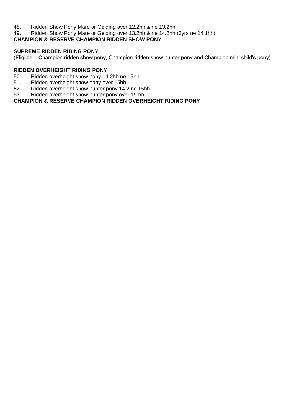48. Ridden Show Pony Mare or Gelding over 12.2hh & ne 13.2hh<br>49. Ridden Show Pony Mare or Gelding over 13.2hh & ne 14.2hh

Ridden Show Pony Mare or Gelding over 13.2hh & ne 14.2hh (3yrs ne 14.1hh)

### **CHAMPION & RESERVE CHAMPION RIDDEN SHOW PONY**

### **SUPREME RIDDEN RIDING PONY**

(Eligible – Champion ridden show pony, Champion ridden show hunter pony and Champion mini child's pony)

- **RIDDEN OVERHEIGHT RIDING PONY** 50. Ridden overheight show pony 14.2hh ne 15hh<br>51. Ridden overheight show pony over 15hh
- 51. Ridden overheight show pony over 15hh<br>52. Ridden overheight show hunter pony 14.2
- 52. Ridden overheight show hunter pony 14.2 ne 15hh<br>53. Ridden overheight show hunter pony over 15 hh
- Ridden overheight show hunter pony over 15 hh

### **CHAMPION & RESERVE CHAMPION RIDDEN OVERHEIGHT RIDING PONY**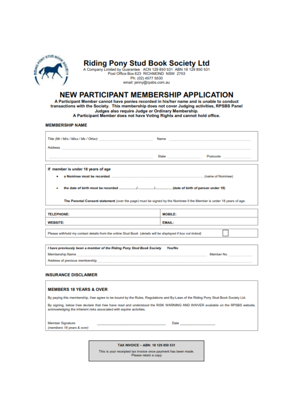

Riding Pony Stud Book Society Ltd<br>A Company Limited by Guarantee ACN 129 850 531 ABN 18 129 850 531<br>Post Office Box 623 RICHMOND NSW 2753

Ph: (02) 4577 5530 email: jenny@rpsbs.com.au

### **NEW PARTICIPANT MEMBERSHIP APPLICATION**

A Participant Member cannot have ponies recorded in his/her name and is unable to conduct transactions with the Society. This membership does not cover Judging activities, RPSBS Panel Judges also require Judge or Ordinary Membership.

A Participant Member does not have Voting Rights and cannot hold office.

#### **MEMBERSHIP NAME**

|                                                                                                                      | Name and the contract of the contract                                       |  |  |  |
|----------------------------------------------------------------------------------------------------------------------|-----------------------------------------------------------------------------|--|--|--|
| Address <b>Address</b>                                                                                               | State and the contract of the contract of<br>Postcode and a contract of the |  |  |  |
| If member is under 18 years of age                                                                                   |                                                                             |  |  |  |
| ٠                                                                                                                    |                                                                             |  |  |  |
| ٠                                                                                                                    |                                                                             |  |  |  |
| The Parental Consent statement (over the page) must be signed by the Nominee if the Member is under 18 years of age. |                                                                             |  |  |  |
| <b>TELEPHONE:</b>                                                                                                    | <b>MOBILE:</b>                                                              |  |  |  |
| <b>WEBSITE:</b>                                                                                                      | <b>EMAIL:</b>                                                               |  |  |  |
| Please withhold my contact details from the online Stud Book (details will be displayed if box not ticked)           |                                                                             |  |  |  |

I have previously been a member of the Riding Pony Stud Book Society Yes/No Membership Name Member No Address of previous membership

#### **INSURANCE DISCLAIMER**

#### **MEMBERS 18 YEARS & OVER**

By paying this membership, I/we agree to be bound by the Rules, Regulations and By-Laws of the Riding Pony Stud Book Society Ltd.

By signing, below I/we declare that I/we have read and understood the RISK WARNING AND WAIVER available on the RPSBS website, acknowledging the inherent risks associated with equine activities.

Member Signature (members 18 years & over) Date

TAX INVOICE - ABN: 18 129 850 531

This is your receipted tax invoice once payment has been made. Please retain a copy